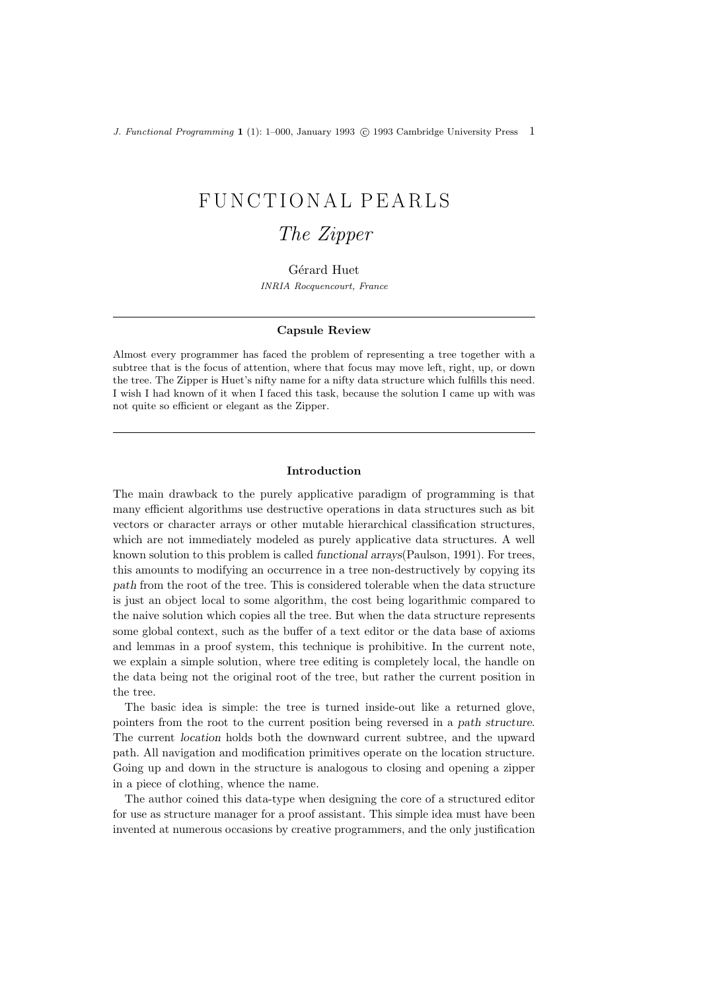J. Functional Programming 1 (1): 1–000, January 1993 © 1993 Cambridge University Press 1

# FUNCTIONAL PEARLS

# The Zipper

Gérard Huet INRIA Rocquencourt, France

#### Capsule Review

Almost every programmer has faced the problem of representing a tree together with a subtree that is the focus of attention, where that focus may move left, right, up, or down the tree. The Zipper is Huet's nifty name for a nifty data structure which fulfills this need. I wish I had known of it when I faced this task, because the solution I came up with was not quite so efficient or elegant as the Zipper.

#### Introduction

The main drawback to the purely applicative paradigm of programming is that many efficient algorithms use destructive operations in data structures such as bit vectors or character arrays or other mutable hierarchical classification structures, which are not immediately modeled as purely applicative data structures. A well known solution to this problem is called functional arrays(Paulson, 1991). For trees, this amounts to modifying an occurrence in a tree non-destructively by copying its path from the root of the tree. This is considered tolerable when the data structure is just an object local to some algorithm, the cost being logarithmic compared to the naive solution which copies all the tree. But when the data structure represents some global context, such as the buffer of a text editor or the data base of axioms and lemmas in a proof system, this technique is prohibitive. In the current note, we explain a simple solution, where tree editing is completely local, the handle on the data being not the original root of the tree, but rather the current position in the tree.

The basic idea is simple: the tree is turned inside-out like a returned glove, pointers from the root to the current position being reversed in a path structure. The current location holds both the downward current subtree, and the upward path. All navigation and modification primitives operate on the location structure. Going up and down in the structure is analogous to closing and opening a zipper in a piece of clothing, whence the name.

The author coined this data-type when designing the core of a structured editor for use as structure manager for a proof assistant. This simple idea must have been invented at numerous occasions by creative programmers, and the only justification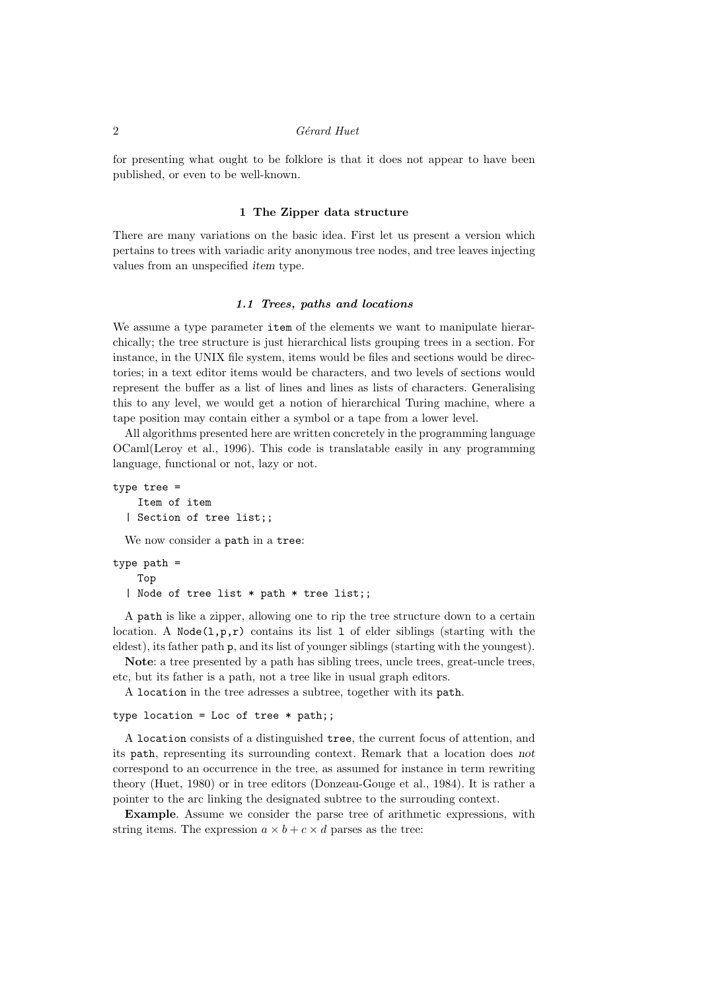# 2 Gérard Huet

for presenting what ought to be folklore is that it does not appear to have been published, or even to be well-known.

#### 1 The Zipper data structure

There are many variations on the basic idea. First let us present a version which pertains to trees with variadic arity anonymous tree nodes, and tree leaves injecting values from an unspecified item type.

### 1.1 Trees, paths and locations

We assume a type parameter **item** of the elements we want to manipulate hierarchically; the tree structure is just hierarchical lists grouping trees in a section. For instance, in the UNIX file system, items would be files and sections would be directories; in a text editor items would be characters, and two levels of sections would represent the buffer as a list of lines and lines as lists of characters. Generalising this to any level, we would get a notion of hierarchical Turing machine, where a tape position may contain either a symbol or a tape from a lower level.

All algorithms presented here are written concretely in the programming language OCaml(Leroy et al., 1996). This code is translatable easily in any programming language, functional or not, lazy or not.

```
type tree =
    Item of item
  | Section of tree list;;
```
We now consider a path in a tree:

```
type path =
    Top
  | Node of tree list * path * tree list;;
```
A path is like a zipper, allowing one to rip the tree structure down to a certain location. A Node $(1,p,r)$  contains its list 1 of elder siblings (starting with the eldest), its father path p, and its list of younger siblings (starting with the youngest).

Note: a tree presented by a path has sibling trees, uncle trees, great-uncle trees, etc, but its father is a path, not a tree like in usual graph editors.

A location in the tree adresses a subtree, together with its path.

# type location = Loc of tree  $*$  path;;

A location consists of a distinguished tree, the current focus of attention, and its path, representing its surrounding context. Remark that a location does not correspond to an occurrence in the tree, as assumed for instance in term rewriting theory (Huet, 1980) or in tree editors (Donzeau-Gouge et al., 1984). It is rather a pointer to the arc linking the designated subtree to the surrouding context.

Example. Assume we consider the parse tree of arithmetic expressions, with string items. The expression  $a \times b + c \times d$  parses as the tree: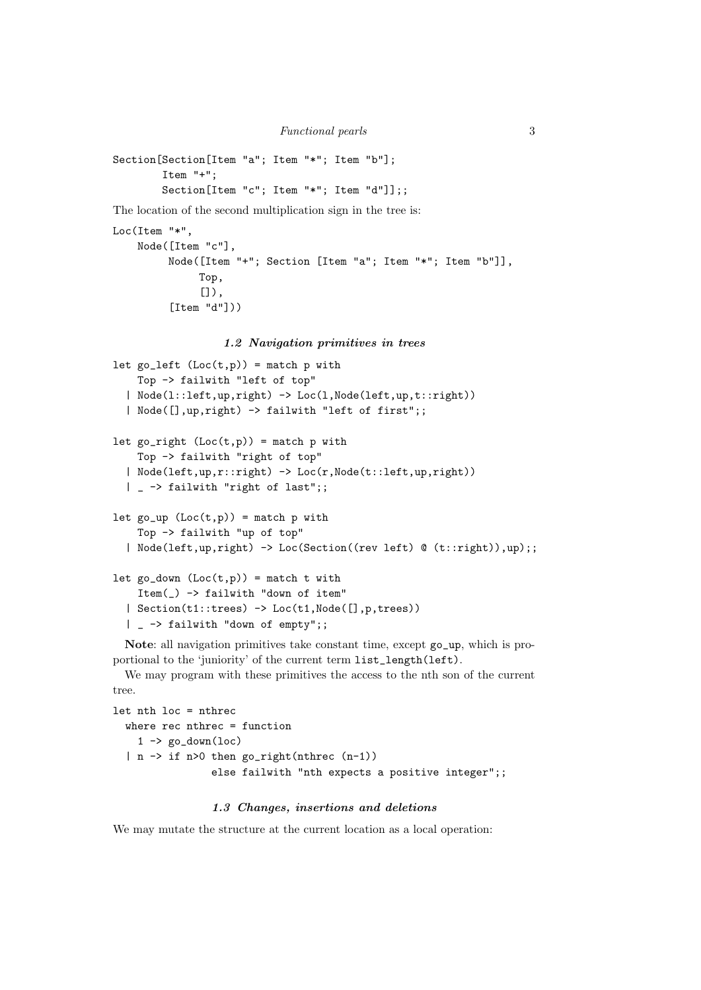```
Section[Section[Item "a"; Item "*"; Item "b"];
        Item "+";
        Section[Item "c"; Item "*"; Item "d"]];;
```
The location of the second multiplication sign in the tree is:

```
Loc(Item "*",
    Node([Item "c"],
         Node([Item "+"; Section [Item "a"; Item "*"; Item "b"]],
              Top,
              []),
         [Item "d"]))
```
#### 1.2 Navigation primitives in trees

```
let go_{\text{left}} (Loc(t,p)) = match p with
   Top -> failwith "left of top"
  | Node(l::left,up,right) -> Loc(l,Node(left,up,t::right))
  | Node([],up,right) -> failwith "left of first";;
let go\_right (Loc(t,p)) = match p with
   Top -> failwith "right of top"
  | Node(left,up,r::right) -> Loc(r,Node(t::left,up,right))
  | _ -> failwith "right of last";;
let go_up (Loc(t,p)) = match p with
   Top -> failwith "up of top"
  | Node(left,up,right) -> Loc(Section((rev left) @ (t::right)),up);;
let go_down (Loc(t,p)) = match t with
   Item(_) -> failwith "down of item"
  | Section(t1::trees) -> Loc(t1,Node([],p,trees))
  | _ -> failwith "down of empty";;
```
Note: all navigation primitives take constant time, except go\_up, which is proportional to the 'juniority' of the current term list\_length(left).

We may program with these primitives the access to the nth son of the current tree.

```
let nth loc = nthrec
  where rec nthrec = function
    1 \rightarrow \text{go\_down}(\text{loc})| n \rightarrow if n>0 then go_right(nthrec (n-1))
                   else failwith "nth expects a positive integer";;
```
### 1.3 Changes, insertions and deletions

We may mutate the structure at the current location as a local operation: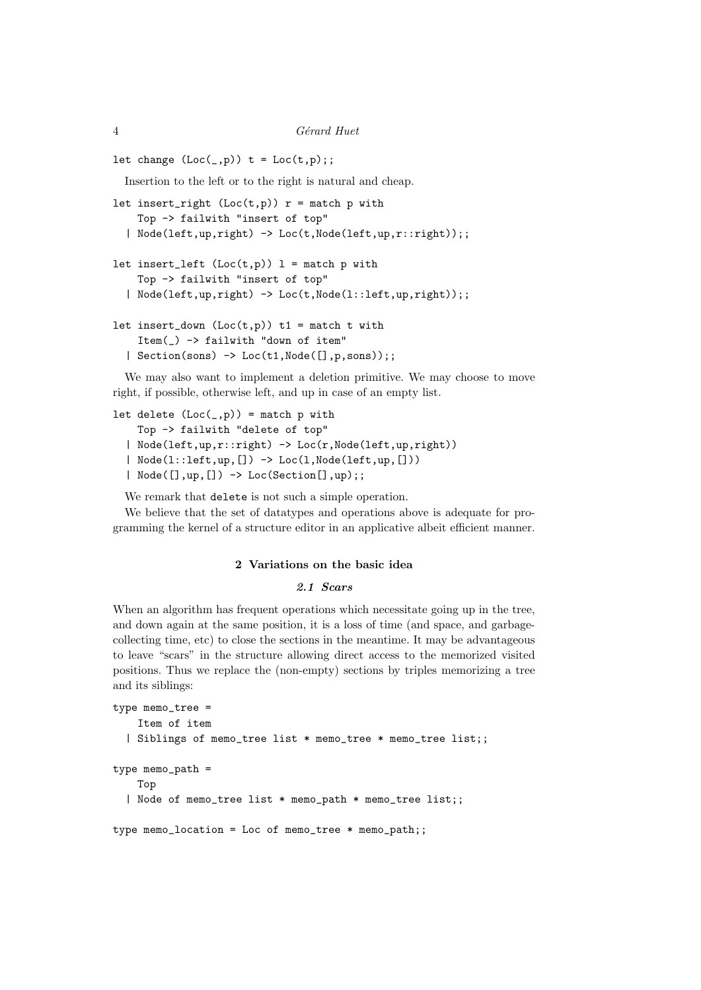```
let change (Loc(\_ ,p)) t = Loc(t,p);
```
Insertion to the left or to the right is natural and cheap.

```
let insert_right (Loc(t,p)) r = match p with
    Top -> failwith "insert of top"
  | Node(left,up,right) -> Loc(t,Node(left,up,r::right));;
```

```
let insert_left (Loc(t,p)) l = match p with
    Top -> failwith "insert of top"
  | Node(left,up,right) -> Loc(t,Node(l::left,up,right));;
```

```
let insert_down (Loc(t,p)) t1 = match t with
    Item(_) -> failwith "down of item"
  | Section(sons) \rightarrow Loc(t1, Node([], p, sons));;
```
We may also want to implement a deletion primitive. We may choose to move right, if possible, otherwise left, and up in case of an empty list.

```
let delete (Loc(\_,p)) = match p with
    Top -> failwith "delete of top"
```

```
| Node(left,up,r::right) -> Loc(r,Node(left,up,right))
| Node(l::left,up, []) -> Loc(l, Node(left,up, []))
| Node([],up,[]) -> Loc(Section[],up);;
```
We remark that delete is not such a simple operation.

We believe that the set of datatypes and operations above is adequate for programming the kernel of a structure editor in an applicative albeit efficient manner.

# 2 Variations on the basic idea

# 2.1 Scars

When an algorithm has frequent operations which necessitate going up in the tree, and down again at the same position, it is a loss of time (and space, and garbagecollecting time, etc) to close the sections in the meantime. It may be advantageous to leave "scars" in the structure allowing direct access to the memorized visited positions. Thus we replace the (non-empty) sections by triples memorizing a tree and its siblings:

```
type memo_tree =
    Item of item
  | Siblings of memo_tree list * memo_tree * memo_tree list;;
type memo_path =
    Top
  | Node of memo_tree list * memo_path * memo_tree list;;
type memo_location = Loc of memo_tree * memo_path;;
```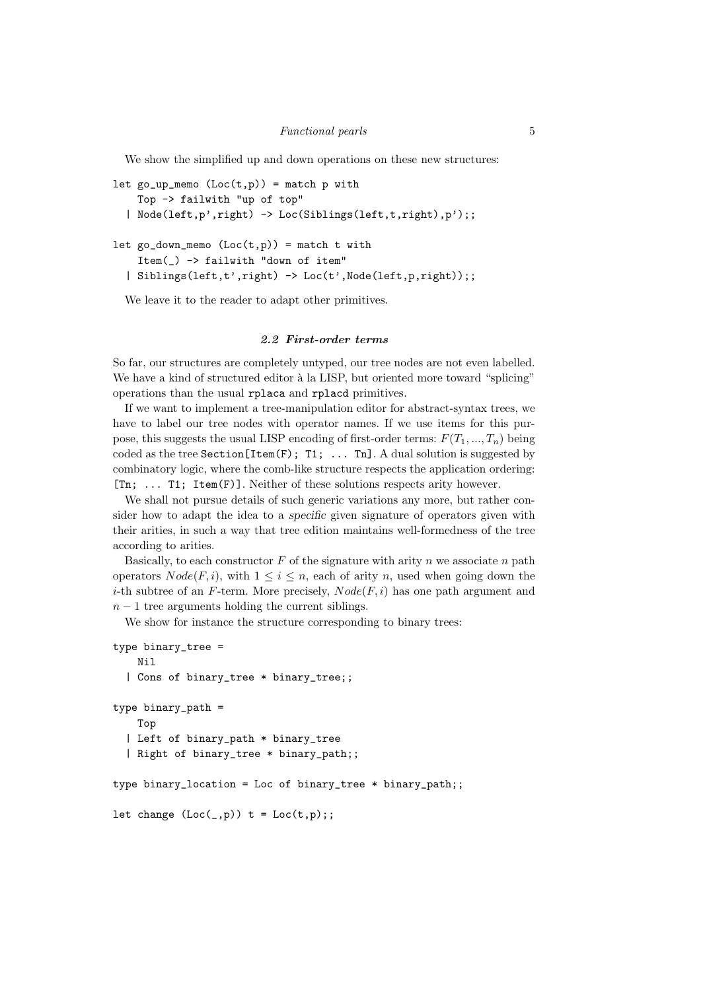We show the simplified up and down operations on these new structures:

```
let go_up_memo (Loc(t,p)) = match p with
    Top -> failwith "up of top"
  | Node(left,p',right) -> Loc(Siblings(left,t,right),p');;
```

```
let go_down_memo (Loc(t,p)) = match t with
    Item(_) -> failwith "down of item"
  | Siblings(left,t',right) -> Loc(t',Node(left,p,right));;
```
We leave it to the reader to adapt other primitives.

# 2.2 First-order terms

So far, our structures are completely untyped, our tree nodes are not even labelled. We have a kind of structured editor à la LISP, but oriented more toward "splicing" operations than the usual rplaca and rplacd primitives.

If we want to implement a tree-manipulation editor for abstract-syntax trees, we have to label our tree nodes with operator names. If we use items for this purpose, this suggests the usual LISP encoding of first-order terms:  $F(T_1, ..., T_n)$  being coded as the tree Section[Item(F); T1; ... Tn]. A dual solution is suggested by combinatory logic, where the comb-like structure respects the application ordering: [Tn; ... T1; Item(F)]. Neither of these solutions respects arity however.

We shall not pursue details of such generic variations any more, but rather consider how to adapt the idea to a specific given signature of operators given with their arities, in such a way that tree edition maintains well-formedness of the tree according to arities.

Basically, to each constructor  $F$  of the signature with arity  $n$  we associate  $n$  path operators  $Node(F, i)$ , with  $1 \leq i \leq n$ , each of arity n, used when going down the *i*-th subtree of an F-term. More precisely,  $Node(F, i)$  has one path argument and  $n - 1$  tree arguments holding the current siblings.

We show for instance the structure corresponding to binary trees:

```
type binary_tree =
   Nil
  | Cons of binary_tree * binary_tree;;
type binary_path =
   Top
  | Left of binary_path * binary_tree
  | Right of binary_tree * binary_path;;
type binary_location = Loc of binary_tree * binary_path;;
let change (Loc(\_ ,p)) t = Loc(t,p);
```